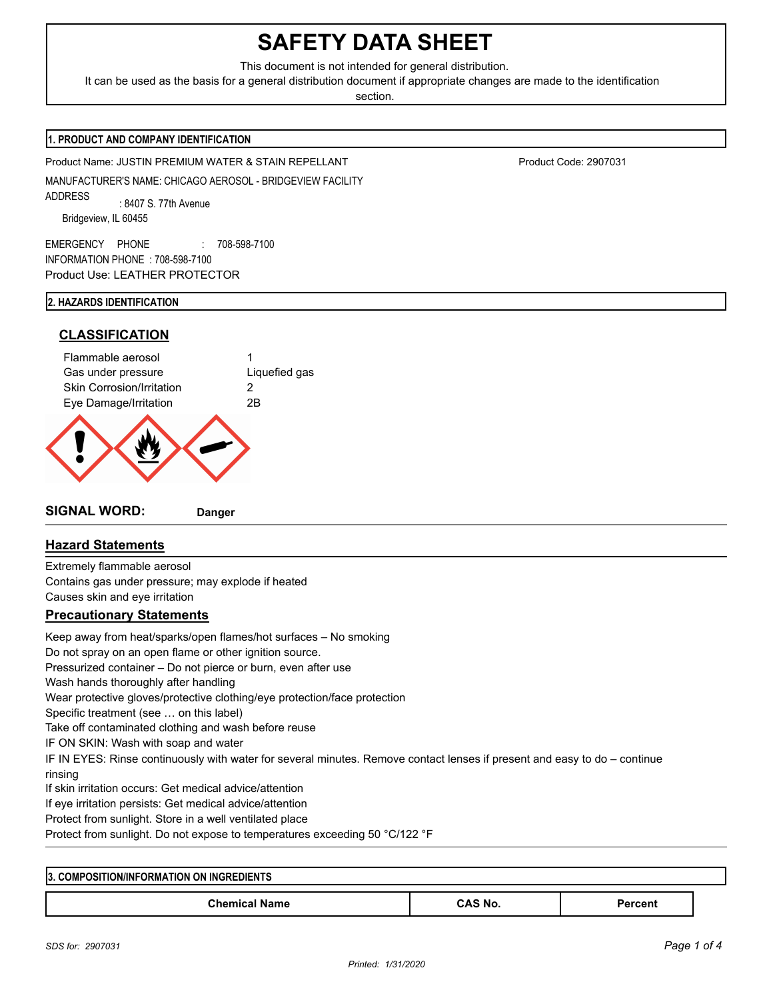# **SAFETY DATA SHEET**

This document is not intended for general distribution.

It can be used as the basis for a general distribution document if appropriate changes are made to the identification

section.

#### **1. PRODUCT AND COMPANY IDENTIFICATION**

Product Name: JUSTIN PREMIUM WATER & STAIN REPELLANT Product Code: 2907031

MANUFACTURER'S NAME: CHICAGO AEROSOL - BRIDGEVIEW FACILITY ADDRESS : 8407 S. 77th Avenue Bridgeview, IL 60455

EMERGENCY PHONE : 708-598-7100 INFORMATION PHONE : 708-598-7100 Product Use: LEATHER PROTECTOR

#### **2. HAZARDS IDENTIFICATION**

# **CLASSIFICATION** Flammable aerosol 1

Gas under pressure **Liquefied gas** Skin Corrosion/Irritation 2 Eye Damage/Irritation 2B

**SIGNAL WORD: Danger**

## **Hazard Statements**

Extremely flammable aerosol Contains gas under pressure; may explode if heated Causes skin and eye irritation

### **Precautionary Statements**

Keep away from heat/sparks/open flames/hot surfaces – No smoking Do not spray on an open flame or other ignition source. Pressurized container – Do not pierce or burn, even after use Wash hands thoroughly after handling Wear protective gloves/protective clothing/eye protection/face protection Specific treatment (see … on this label) Take off contaminated clothing and wash before reuse IF ON SKIN: Wash with soap and water IF IN EYES: Rinse continuously with water for several minutes. Remove contact lenses if present and easy to do – continue rinsing If skin irritation occurs: Get medical advice/attention If eye irritation persists: Get medical advice/attention Protect from sunlight. Store in a well ventilated place Protect from sunlight. Do not expose to temperatures exceeding 50 °C/122 °F

| <b>INGREDIENTS</b><br><b>13. COMPOSITION/INFORMAT</b><br>ON<br>TION |         |        |  |  |  |  |
|---------------------------------------------------------------------|---------|--------|--|--|--|--|
| <b>Chemical Name</b>                                                | `AS No. | rcent( |  |  |  |  |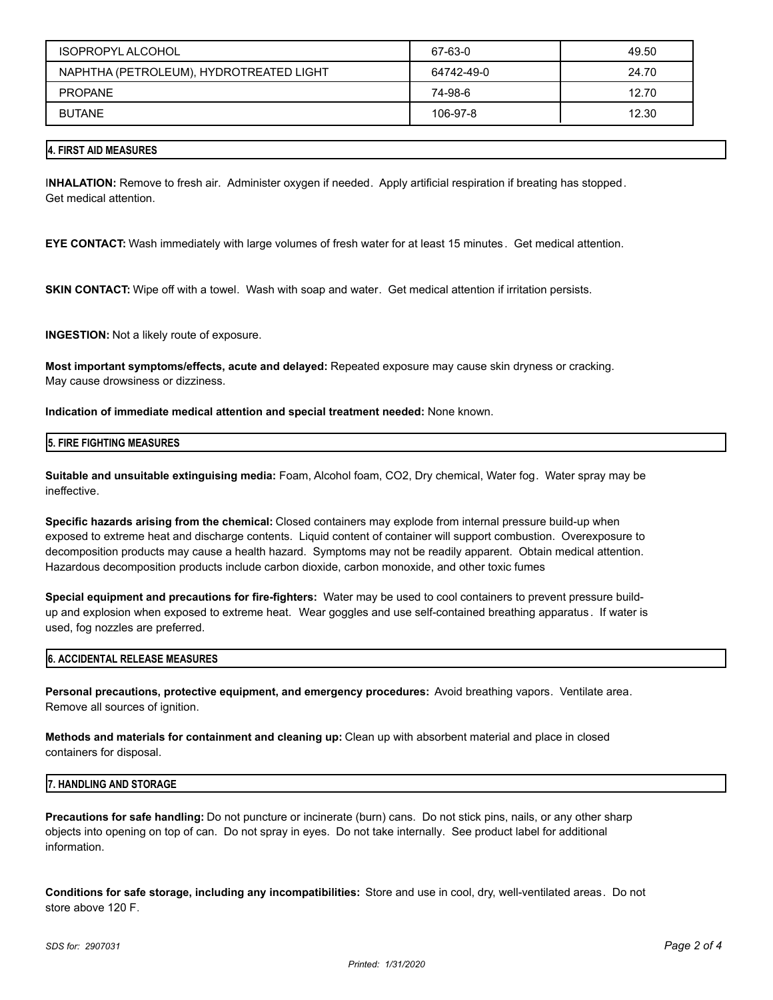| ISOPROPYL ALCOHOL                       | 67-63-0    | 49.50 |
|-----------------------------------------|------------|-------|
| NAPHTHA (PETROLEUM), HYDROTREATED LIGHT | 64742-49-0 | 24.70 |
| <b>PROPANE</b>                          | 74-98-6    | 12.70 |
| <b>BUTANE</b>                           | 106-97-8   | 12.30 |

#### **4. FIRST AID MEASURES**

I**NHALATION:** Remove to fresh air. Administer oxygen if needed. Apply artificial respiration if breating has stopped. Get medical attention.

**EYE CONTACT:** Wash immediately with large volumes of fresh water for at least 15 minutes. Get medical attention.

**SKIN CONTACT:** Wipe off with a towel. Wash with soap and water. Get medical attention if irritation persists.

**INGESTION:** Not a likely route of exposure.

**Most important symptoms/effects, acute and delayed:** Repeated exposure may cause skin dryness or cracking. May cause drowsiness or dizziness.

**Indication of immediate medical attention and special treatment needed:** None known.

#### **5. FIRE FIGHTING MEASURES**

**Suitable and unsuitable extinguising media:** Foam, Alcohol foam, CO2, Dry chemical, Water fog. Water spray may be ineffective.

**Specific hazards arising from the chemical:** Closed containers may explode from internal pressure build-up when exposed to extreme heat and discharge contents. Liquid content of container will support combustion. Overexposure to decomposition products may cause a health hazard. Symptoms may not be readily apparent. Obtain medical attention. Hazardous decomposition products include carbon dioxide, carbon monoxide, and other toxic fumes

**Special equipment and precautions for fire-fighters:** Water may be used to cool containers to prevent pressure buildup and explosion when exposed to extreme heat. Wear goggles and use self-contained breathing apparatus. If water is used, fog nozzles are preferred.

#### **6. ACCIDENTAL RELEASE MEASURES**

**Personal precautions, protective equipment, and emergency procedures:** Avoid breathing vapors. Ventilate area. Remove all sources of ignition.

**Methods and materials for containment and cleaning up:** Clean up with absorbent material and place in closed containers for disposal.

#### **7. HANDLING AND STORAGE**

**Precautions for safe handling:** Do not puncture or incinerate (burn) cans. Do not stick pins, nails, or any other sharp objects into opening on top of can. Do not spray in eyes. Do not take internally. See product label for additional information.

**Conditions for safe storage, including any incompatibilities:** Store and use in cool, dry, well-ventilated areas. Do not store above 120 F.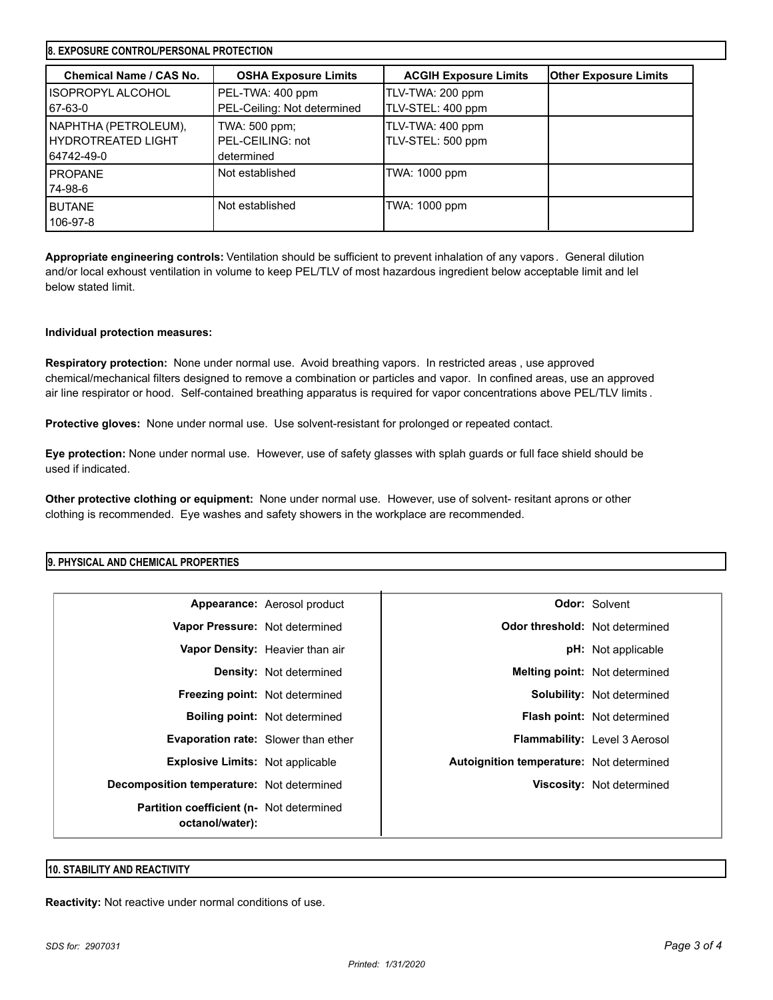| <b>8. EXPOSURE CONTROL/PERSONAL PROTECTION</b>             |                                                 |                                       |                              |  |  |
|------------------------------------------------------------|-------------------------------------------------|---------------------------------------|------------------------------|--|--|
| Chemical Name / CAS No.                                    | <b>OSHA Exposure Limits</b>                     | <b>ACGIH Exposure Limits</b>          | <b>Other Exposure Limits</b> |  |  |
| I ISOPROPYL ALCOHOL<br>67-63-0                             | PEL-TWA: 400 ppm<br>PEL-Ceiling: Not determined | TLV-TWA: 200 ppm<br>TLV-STEL: 400 ppm |                              |  |  |
| NAPHTHA (PETROLEUM),<br>I HYDROTREATED LIGHT<br>64742-49-0 | TWA: 500 ppm;<br>PEL-CEILING: not<br>determined | TLV-TWA: 400 ppm<br>TLV-STEL: 500 ppm |                              |  |  |
| <b>PROPANE</b><br>74-98-6                                  | Not established                                 | TWA: 1000 ppm                         |                              |  |  |
| <b>BUTANE</b><br>106-97-8                                  | Not established                                 | TWA: 1000 ppm                         |                              |  |  |

**Appropriate engineering controls:** Ventilation should be sufficient to prevent inhalation of any vapors . General dilution and/or local exhoust ventilation in volume to keep PEL/TLV of most hazardous ingredient below acceptable limit and lel below stated limit.

#### **Individual protection measures:**

**Respiratory protection:** None under normal use. Avoid breathing vapors. In restricted areas , use approved chemical/mechanical filters designed to remove a combination or particles and vapor. In confined areas, use an approved air line respirator or hood. Self-contained breathing apparatus is required for vapor concentrations above PEL/TLV limits .

**Protective gloves:** None under normal use. Use solvent-resistant for prolonged or repeated contact.

**Eye protection:** None under normal use. However, use of safety glasses with splah guards or full face shield should be used if indicated.

**Other protective clothing or equipment:** None under normal use. However, use of solvent- resitant aprons or other clothing is recommended. Eye washes and safety showers in the workplace are recommended.

#### **9. PHYSICAL AND CHEMICAL PROPERTIES**

|                                                                     | Appearance: Aerosol product          |                                          | <b>Odor: Solvent</b>                 |
|---------------------------------------------------------------------|--------------------------------------|------------------------------------------|--------------------------------------|
| Vapor Pressure: Not determined                                      |                                      | Odor threshold: Not determined           |                                      |
|                                                                     | Vapor Density: Heavier than air      |                                          | <b>pH:</b> Not applicable            |
|                                                                     | <b>Density:</b> Not determined       |                                          | <b>Melting point:</b> Not determined |
| <b>Freezing point:</b> Not determined                               |                                      |                                          | <b>Solubility:</b> Not determined    |
|                                                                     | <b>Boiling point:</b> Not determined |                                          | <b>Flash point:</b> Not determined   |
| <b>Evaporation rate:</b> Slower than ether                          |                                      |                                          | Flammability: Level 3 Aerosol        |
| <b>Explosive Limits:</b> Not applicable                             |                                      | Autoignition temperature: Not determined |                                      |
| <b>Decomposition temperature:</b> Not determined                    |                                      |                                          | Viscosity: Not determined            |
| <b>Partition coefficient (n- Not determined)</b><br>octanol/water): |                                      |                                          |                                      |

#### **10. STABILITY AND REACTIVITY**

**Reactivity:** Not reactive under normal conditions of use.